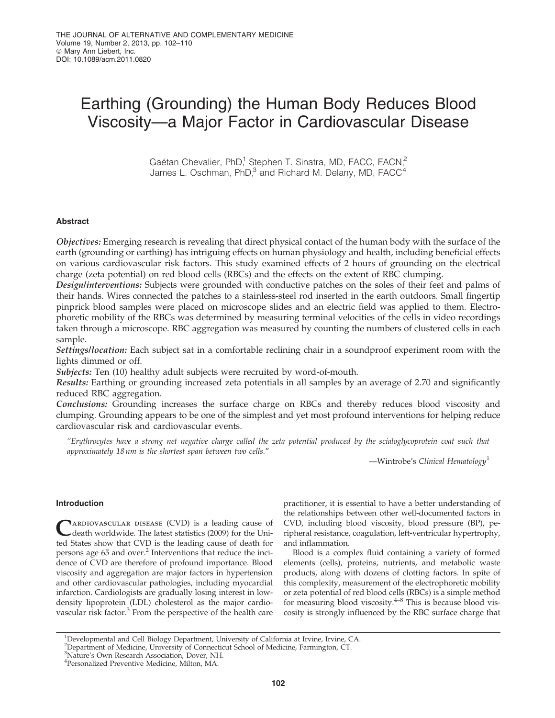# Earthing (Grounding) the Human Body Reduces Blood Viscosity—a Major Factor in Cardiovascular Disease

Gaétan Chevalier, PhD,<sup>1</sup> Stephen T. Sinatra, MD, FACC, FACN,<sup>2</sup> James L. Oschman, PhD, $^3$  and Richard M. Delany, MD, FACC<sup>4</sup>

# Abstract

Objectives: Emerging research is revealing that direct physical contact of the human body with the surface of the earth (grounding or earthing) has intriguing effects on human physiology and health, including beneficial effects on various cardiovascular risk factors. This study examined effects of 2 hours of grounding on the electrical charge (zeta potential) on red blood cells (RBCs) and the effects on the extent of RBC clumping.

Design/interventions: Subjects were grounded with conductive patches on the soles of their feet and palms of their hands. Wires connected the patches to a stainless-steel rod inserted in the earth outdoors. Small fingertip pinprick blood samples were placed on microscope slides and an electric field was applied to them. Electrophoretic mobility of the RBCs was determined by measuring terminal velocities of the cells in video recordings taken through a microscope. RBC aggregation was measured by counting the numbers of clustered cells in each sample.

Settings/location: Each subject sat in a comfortable reclining chair in a soundproof experiment room with the lights dimmed or off.

Subjects: Ten (10) healthy adult subjects were recruited by word-of-mouth.

Results: Earthing or grounding increased zeta potentials in all samples by an average of 2.70 and significantly reduced RBC aggregation.

Conclusions: Grounding increases the surface charge on RBCs and thereby reduces blood viscosity and clumping. Grounding appears to be one of the simplest and yet most profound interventions for helping reduce cardiovascular risk and cardiovascular events.

*''Erythrocytes have a strong net negative charge called the zeta potential produced by the scialoglycoprotein coat such that approximately 18 nm is the shortest span between two cells.*''

—Wintrobe's *Clinical Hematology*<sup>1</sup>

# Introduction

C ARDIOVASCULAR DISEASE (CVD) is a leading cause of death worldwide. The latest statistics (2009) for the United States show that CVD is the leading cause of death for persons age 65 and over.<sup>2</sup> Interventions that reduce the incidence of CVD are therefore of profound importance. Blood viscosity and aggregation are major factors in hypertension and other cardiovascular pathologies, including myocardial infarction. Cardiologists are gradually losing interest in lowdensity lipoprotein (LDL) cholesterol as the major cardiovascular risk factor.<sup>3</sup> From the perspective of the health care

practitioner, it is essential to have a better understanding of the relationships between other well-documented factors in CVD, including blood viscosity, blood pressure (BP), peripheral resistance, coagulation, left-ventricular hypertrophy, and inflammation.

Blood is a complex fluid containing a variety of formed elements (cells), proteins, nutrients, and metabolic waste products, along with dozens of clotting factors. In spite of this complexity, measurement of the electrophoretic mobility or zeta potential of red blood cells (RBCs) is a simple method for measuring blood viscosity. $4-8$  This is because blood viscosity is strongly influenced by the RBC surface charge that

<sup>&</sup>lt;sup>1</sup>Developmental and Cell Biology Department, University of California at Irvine, Irvine, CA.

<sup>&</sup>lt;sup>2</sup>Department of Medicine, University of Connecticut School of Medicine, Farmington, CT.

<sup>3</sup>Nature's Own Research Association, Dover, NH.

<sup>4</sup> Personalized Preventive Medicine, Milton, MA.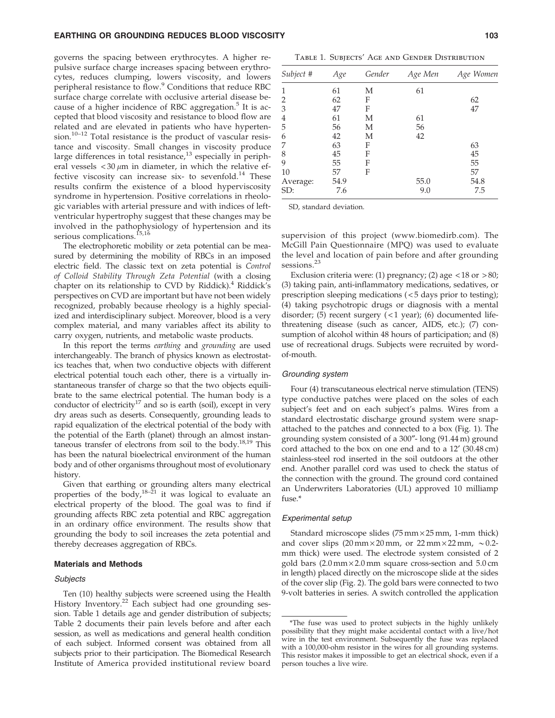# EARTHING OR GROUNDING REDUCES BLOOD VISCOSITY **103** 103

governs the spacing between erythrocytes. A higher repulsive surface charge increases spacing between erythrocytes, reduces clumping, lowers viscosity, and lowers peripheral resistance to flow.<sup>9</sup> Conditions that reduce RBC surface charge correlate with occlusive arterial disease because of a higher incidence of RBC aggregation.<sup>5</sup> It is accepted that blood viscosity and resistance to blood flow are related and are elevated in patients who have hypertension.<sup>10-12</sup> Total resistance is the product of vascular resistance and viscosity. Small changes in viscosity produce large differences in total resistance, $13$  especially in peripheral vessels  $<$  30  $\mu$ m in diameter, in which the relative effective viscosity can increase six- to sevenfold.<sup>14</sup> These results confirm the existence of a blood hyperviscosity syndrome in hypertension. Positive correlations in rheologic variables with arterial pressure and with indices of leftventricular hypertrophy suggest that these changes may be involved in the pathophysiology of hypertension and its serious complications.<sup>15,16</sup>

The electrophoretic mobility or zeta potential can be measured by determining the mobility of RBCs in an imposed electric field. The classic text on zeta potential is *Control of Colloid Stability Through Zeta Potential* (with a closing chapter on its relationship to CVD by Riddick). $4$  Riddick's perspectives on CVD are important but have not been widely recognized, probably because rheology is a highly specialized and interdisciplinary subject. Moreover, blood is a very complex material, and many variables affect its ability to carry oxygen, nutrients, and metabolic waste products.

In this report the terms *earthing* and *grounding* are used interchangeably. The branch of physics known as electrostatics teaches that, when two conductive objects with different electrical potential touch each other, there is a virtually instantaneous transfer of charge so that the two objects equilibrate to the same electrical potential. The human body is a conductor of electricity<sup>17</sup> and so is earth (soil), except in very dry areas such as deserts. Consequently, grounding leads to rapid equalization of the electrical potential of the body with the potential of the Earth (planet) through an almost instantaneous transfer of electrons from soil to the body.<sup>18,19</sup> This has been the natural bioelectrical environment of the human body and of other organisms throughout most of evolutionary history.

Given that earthing or grounding alters many electrical properties of the body,<sup>18–21</sup> it was logical to evaluate an electrical property of the blood. The goal was to find if grounding affects RBC zeta potential and RBC aggregation in an ordinary office environment. The results show that grounding the body to soil increases the zeta potential and thereby decreases aggregation of RBCs.

### Materials and Methods

### **Subjects**

Ten (10) healthy subjects were screened using the Health History Inventory.<sup>22</sup> Each subject had one grounding session. Table 1 details age and gender distribution of subjects; Table 2 documents their pain levels before and after each session, as well as medications and general health condition of each subject. Informed consent was obtained from all subjects prior to their participation. The Biomedical Research Institute of America provided institutional review board

| Subject #      | Age  | Gender | Age Men | Age Women |  |
|----------------|------|--------|---------|-----------|--|
| 1              | 61   | М      | 61      |           |  |
| $\overline{2}$ | 62   | F      |         | 62        |  |
| 3              | 47   | F      |         | 47        |  |
| 4              | 61   | М      | 61      |           |  |
| 5              | 56   | М      | 56      |           |  |
| 6              | 42   | М      | 42      |           |  |
| 7              | 63   | F      |         | 63        |  |
| 8              | 45   | F      |         | 45        |  |
| 9              | 55   | F      |         | 55        |  |
| 10             | 57   | F      |         | 57        |  |
| Average:       | 54.9 |        | 55.0    | 54.8      |  |
| SD:            | 7.6  |        | 9.0     | 7.5       |  |

SD, standard deviation.

supervision of this project (www.biomedirb.com). The McGill Pain Questionnaire (MPQ) was used to evaluate the level and location of pain before and after grounding sessions.<sup>23</sup>

Exclusion criteria were: (1) pregnancy; (2) age  $\langle 18 \text{ or } 280 \rangle$ ; (3) taking pain, anti-inflammatory medications, sedatives, or prescription sleeping medications ( < 5 days prior to testing); (4) taking psychotropic drugs or diagnosis with a mental disorder; (5) recent surgery  $(<1$  year); (6) documented lifethreatening disease (such as cancer, AIDS, etc.); (7) consumption of alcohol within 48 hours of participation; and (8) use of recreational drugs. Subjects were recruited by wordof-mouth.

### Grounding system

Four (4) transcutaneous electrical nerve stimulation (TENS) type conductive patches were placed on the soles of each subject's feet and on each subject's palms. Wires from a standard electrostatic discharge ground system were snapattached to the patches and connected to a box (Fig. 1). The grounding system consisted of a 300"- long (91.44 m) ground cord attached to the box on one end and to a 12' (30.48 cm) stainless-steel rod inserted in the soil outdoors at the other end. Another parallel cord was used to check the status of the connection with the ground. The ground cord contained an Underwriters Laboratories (UL) approved 10 milliamp fuse.\*

### Experimental setup

Standard microscope slides  $(75 \text{ mm} \times 25 \text{ mm}, 1 \text{-mm}$  thick) and cover slips  $(20 \text{ mm} \times 20 \text{ mm})$ , or  $22 \text{ mm} \times 22 \text{ mm}$ ,  $\sim 0.2$ mm thick) were used. The electrode system consisted of 2 gold bars  $(2.0 \text{ mm} \times 2.0 \text{ mm}$  square cross-section and  $5.0 \text{ cm}$ in length) placed directly on the microscope slide at the sides of the cover slip (Fig. 2). The gold bars were connected to two 9-volt batteries in series. A switch controlled the application

<sup>\*</sup>The fuse was used to protect subjects in the highly unlikely possibility that they might make accidental contact with a live/hot wire in the test environment. Subsequently the fuse was replaced with a 100,000-ohm resistor in the wires for all grounding systems. This resistor makes it impossible to get an electrical shock, even if a person touches a live wire.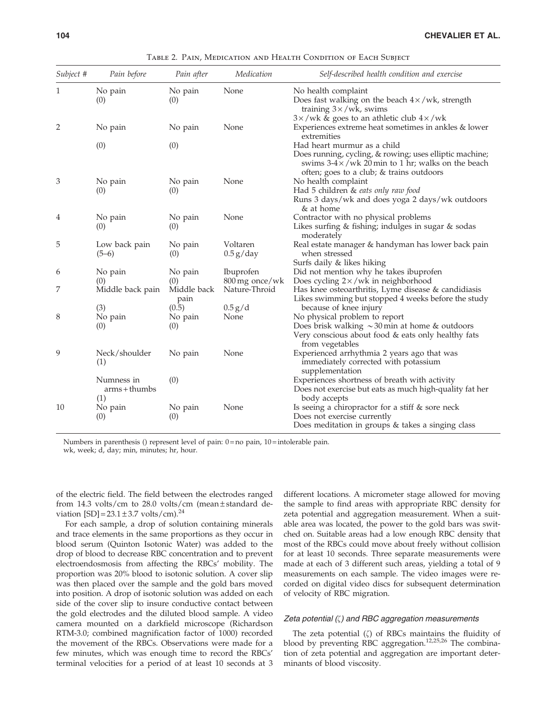| Subject # | Pain before                   | Pain after                 | Medication                      | Self-described health condition and exercise                                                                                                                                              |
|-----------|-------------------------------|----------------------------|---------------------------------|-------------------------------------------------------------------------------------------------------------------------------------------------------------------------------------------|
| 1         | No pain<br>(0)                | No pain<br>(0)             | None                            | No health complaint<br>Does fast walking on the beach $4 \times$ /wk, strength<br>training $3 \times$ /wk, swims                                                                          |
| 2         | No pain                       | No pain                    | None                            | $3 \times$ /wk & goes to an athletic club $4 \times$ /wk<br>Experiences extreme heat sometimes in ankles & lower<br>extremities                                                           |
|           | (0)                           | (0)                        |                                 | Had heart murmur as a child<br>Does running, cycling, & rowing; uses elliptic machine;<br>swims $3-4 \times /wk$ 20 min to 1 hr; walks on the beach                                       |
| 3         | No pain<br>(0)                | No pain<br>(0)             | None                            | often; goes to a club; & trains outdoors<br>No health complaint<br>Had 5 children & eats only raw food<br>Runs 3 days/wk and does yoga 2 days/wk outdoors<br>& at home                    |
| 4         | No pain<br>(0)                | No pain<br>(0)             | None                            | Contractor with no physical problems<br>Likes surfing & fishing; indulges in sugar & sodas<br>moderately                                                                                  |
| 5         | Low back pain<br>$(5-6)$      | No pain<br>(0)             | Voltaren<br>$0.5$ g/day         | Real estate manager & handyman has lower back pain<br>when stressed                                                                                                                       |
| 6         | No pain                       | No pain                    | <b>Ibuprofen</b>                | Surfs daily & likes hiking<br>Did not mention why he takes ibuprofen                                                                                                                      |
| 7         | (0)<br>Middle back pain       | (0)<br>Middle back<br>pain | 800 mg once/wk<br>Nature-Throid | Does cycling $2 \times / wk$ in neighborhood<br>Has knee osteoarthritis, Lyme disease & candidiasis<br>Likes swimming but stopped 4 weeks before the study                                |
| 8         | (3)<br>No pain<br>(0)         | (0.5)<br>No pain<br>(0)    | 0.5 g/d<br>None                 | because of knee injury<br>No physical problem to report<br>Does brisk walking $\sim$ 30 min at home & outdoors<br>Very conscious about food $&$ eats only healthy fats<br>from vegetables |
| 9         | Neck/shoulder<br>(1)          | No pain                    | None                            | Experienced arrhythmia 2 years ago that was<br>immediately corrected with potassium<br>supplementation                                                                                    |
|           | Numness in<br>$arms + thumbs$ | (0)                        |                                 | Experiences shortness of breath with activity<br>Does not exercise but eats as much high-quality fat her                                                                                  |
| 10        | (1)<br>No pain<br>(0)         | No pain<br>(0)             | None                            | body accepts<br>Is seeing a chiropractor for a stiff & sore neck<br>Does not exercise currently<br>Does meditation in groups & takes a singing class                                      |

Table 2. Pain, Medication and Health Condition of Each Subject

Numbers in parenthesis () represent level of pain: 0 = no pain, 10 = intolerable pain. wk, week; d, day; min, minutes; hr, hour.

of the electric field. The field between the electrodes ranged from 14.3 volts/cm to 28.0 volts/cm (mean  $\pm$  standard deviation  $[SD] = 23.1 \pm 3.7$  volts/cm).<sup>24</sup>

For each sample, a drop of solution containing minerals and trace elements in the same proportions as they occur in blood serum (Quinton Isotonic Water) was added to the drop of blood to decrease RBC concentration and to prevent electroendosmosis from affecting the RBCs' mobility. The proportion was 20% blood to isotonic solution. A cover slip was then placed over the sample and the gold bars moved into position. A drop of isotonic solution was added on each side of the cover slip to insure conductive contact between the gold electrodes and the diluted blood sample. A video camera mounted on a darkfield microscope (Richardson RTM-3.0; combined magnification factor of 1000) recorded the movement of the RBCs. Observations were made for a few minutes, which was enough time to record the RBCs' terminal velocities for a period of at least 10 seconds at 3 different locations. A micrometer stage allowed for moving the sample to find areas with appropriate RBC density for zeta potential and aggregation measurement. When a suitable area was located, the power to the gold bars was switched on. Suitable areas had a low enough RBC density that most of the RBCs could move about freely without collision for at least 10 seconds. Three separate measurements were made at each of 3 different such areas, yielding a total of 9 measurements on each sample. The video images were recorded on digital video discs for subsequent determination of velocity of RBC migration.

## Zeta potential  $(\zeta)$  and RBC aggregation measurements

The zeta potential  $(\zeta)$  of RBCs maintains the fluidity of blood by preventing RBC aggregation.<sup>12,25,26</sup> The combination of zeta potential and aggregation are important determinants of blood viscosity.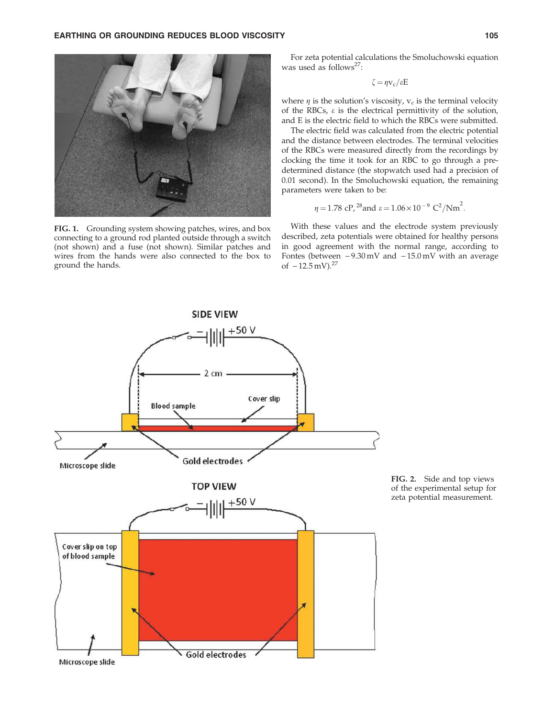

FIG. 1. Grounding system showing patches, wires, and box connecting to a ground rod planted outside through a switch (not shown) and a fuse (not shown). Similar patches and wires from the hands were also connected to the box to ground the hands.

For zeta potential calculations the Smoluchowski equation was used as follows<sup>27</sup>:

$$
\zeta = \eta v_c / \varepsilon E
$$

where  $\eta$  is the solution's viscosity,  $v_c$  is the terminal velocity of the RBCs,  $\varepsilon$  is the electrical permittivity of the solution, and E is the electric field to which the RBCs were submitted.

The electric field was calculated from the electric potential and the distance between electrodes. The terminal velocities of the RBCs were measured directly from the recordings by clocking the time it took for an RBC to go through a predetermined distance (the stopwatch used had a precision of 0.01 second). In the Smoluchowski equation, the remaining parameters were taken to be:

$$
\eta = 1.78
$$
 cP, <sup>28</sup> and  $\epsilon = 1.06 \times 10^{-9}$  C<sup>2</sup>/Nm<sup>2</sup>.

With these values and the electrode system previously described, zeta potentials were obtained for healthy persons in good agreement with the normal range, according to Fontes (between  $-9.30 \text{ mV}$  and  $-15.0 \text{ mV}$  with an average of  $-12.5$  mV).<sup>27</sup>



FIG. 2. Side and top views of the experimental setup for zeta potential measurement.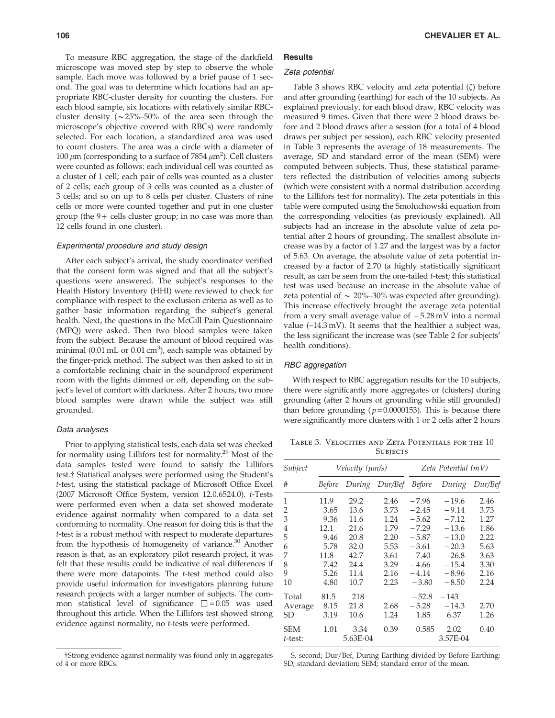To measure RBC aggregation, the stage of the darkfield microscope was moved step by step to observe the whole sample. Each move was followed by a brief pause of 1 second. The goal was to determine which locations had an appropriate RBC-cluster density for counting the clusters. For each blood sample, six locations with relatively similar RBCcluster density ( $\sim$ 25%–50% of the area seen through the microscope's objective covered with RBCs) were randomly selected. For each location, a standardized area was used to count clusters. The area was a circle with a diameter of 100  $\mu$ m (corresponding to a surface of 7854  $\mu$ m<sup>2</sup>). Cell clusters were counted as follows: each individual cell was counted as a cluster of 1 cell; each pair of cells was counted as a cluster of 2 cells; each group of 3 cells was counted as a cluster of 3 cells; and so on up to 8 cells per cluster. Clusters of nine cells or more were counted together and put in one cluster group (the  $9+$  cells cluster group; in no case was more than 12 cells found in one cluster).

### Experimental procedure and study design

After each subject's arrival, the study coordinator verified that the consent form was signed and that all the subject's questions were answered. The subject's responses to the Health History Inventory (HHI) were reviewed to check for compliance with respect to the exclusion criteria as well as to gather basic information regarding the subject's general health. Next, the questions in the McGill Pain Questionnaire (MPQ) were asked. Then two blood samples were taken from the subject. Because the amount of blood required was minimal (0.01 mL or 0.01 cm<sup>3</sup>), each sample was obtained by the finger-prick method. The subject was then asked to sit in a comfortable reclining chair in the soundproof experiment room with the lights dimmed or off, depending on the subject's level of comfort with darkness. After 2 hours, two more blood samples were drawn while the subject was still grounded.

### Data analyses

Prior to applying statistical tests, each data set was checked for normality using Lillifors test for normality.<sup>29</sup> Most of the data samples tested were found to satisfy the Lillifors test.<sup>†</sup> Statistical analyses were performed using the Student's *t*-test, using the statistical package of Microsoft Office Excel (2007 Microsoft Office System, version 12.0.6524.0). *t*-Tests were performed even when a data set showed moderate evidence against normality when compared to a data set conforming to normality. One reason for doing this is that the *t*-test is a robust method with respect to moderate departures from the hypothesis of homogeneity of variance.<sup>30</sup> Another reason is that, as an exploratory pilot research project, it was felt that these results could be indicative of real differences if there were more datapoints. The *t*-test method could also provide useful information for investigators planning future research projects with a larger number of subjects. The common statistical level of significance  $\square = 0.05$  was used throughout this article. When the Lillifors test showed strong evidence against normality, no *t*-tests were performed.

# Zeta potential

**Results** 

Table 3 shows RBC velocity and zeta potential  $(\zeta)$  before and after grounding (earthing) for each of the 10 subjects. As explained previously, for each blood draw, RBC velocity was measured 9 times. Given that there were 2 blood draws before and 2 blood draws after a session (for a total of 4 blood draws per subject per session), each RBC velocity presented in Table 3 represents the average of 18 measurements. The average, SD and standard error of the mean (SEM) were computed between subjects. Thus, these statistical parameters reflected the distribution of velocities among subjects (which were consistent with a normal distribution according to the Lillifors test for normality). The zeta potentials in this table were computed using the Smoluchowski equation from the corresponding velocities (as previously explained). All subjects had an increase in the absolute value of zeta potential after 2 hours of grounding. The smallest absolute increase was by a factor of 1.27 and the largest was by a factor of 5.63. On average, the absolute value of zeta potential increased by a factor of 2.70 (a highly statistically significant result, as can be seen from the one-tailed *t*-test; this statistical test was used because an increase in the absolute value of zeta potential of  $\sim 20\% - 30\%$  was expected after grounding). This increase effectively brought the average zeta potential from a very small average value of  $-5.28 \text{ mV}$  into a normal value (–14.3 mV). It seems that the healthier a subject was, the less significant the increase was (see Table 2 for subjects' health conditions).

### RBC aggregation

With respect to RBC aggregation results for the 10 subjects, there were significantly more aggregates or (clusters) during grounding (after 2 hours of grounding while still grounded) than before grounding  $(p=0.0000153)$ . This is because there were significantly more clusters with 1 or 2 cells after 2 hours

Table 3. Velocities and Zeta Potentials for the 10 **SUBJECTS** 

| Subject               | Velocity ( $\mu$ m/s) |                              |      | $Zeta$ Potential $(mV)$ |                  |         |  |
|-----------------------|-----------------------|------------------------------|------|-------------------------|------------------|---------|--|
| #                     |                       | Before During Dur/Bef Before |      |                         | During           | Dur/Bef |  |
| 1                     | 11.9                  | 29.2                         | 2.46 | $-7.96$                 | $-19.6$          | 2.46    |  |
| 2                     | 3.65                  | 13.6                         | 3.73 | $-2.45$                 | $-9.14$          | 3.73    |  |
| 3                     | 9.36                  | 11.6                         | 1.24 | $-5.62$                 | $-7.12$          | 1.27    |  |
| 4                     | 12.1                  | 21.6                         | 1.79 | $-7.29$                 | $-13.6$          | 1.86    |  |
| 5                     | 9.46                  | 20.8                         | 2.20 | $-5.87$                 | $-13.0$          | 2.22    |  |
| 6                     | 5.78                  | 32.0                         | 5.53 | $-3.61$                 | $-20.3$          | 5.63    |  |
| 7                     | 11.8                  | 42.7                         | 3.61 | $-7.40$                 | $-26.8$          | 3.63    |  |
| 8                     | 7.42                  | 24.4                         | 3.29 | $-4.66$                 | $-15.4$          | 3.30    |  |
| 9                     | 5.26                  | 11.4                         | 2.16 | $-4.14$                 | $-8.96$          | 2.16    |  |
| 10                    | 4.80                  | 10.7                         | 2.23 | $-3.80$                 | $-8.50$          | 2.24    |  |
| Total                 | 81.5                  | 218                          |      | $-52.8$                 | $-143$           |         |  |
| Average               | 8.15                  | 21.8                         | 2.68 | $-5.28$                 | $-14.3$          | 2.70    |  |
| SD                    | 3.19                  | 10.6                         | 1.24 | 1.85                    | 6.37             | 1.26    |  |
| <b>SEM</b><br>t-test: | 1.01                  | 3.34<br>5.63E-04             | 0.39 | 0.585                   | 2.02<br>3.57E-04 | 0.40    |  |

S, second; Dur/Bef, During Earthing divided by Before Earthing; SD; standard deviation; SEM; standard error of the mean.

<sup>{</sup>Strong evidence against normality was found only in aggregates of 4 or more RBCs.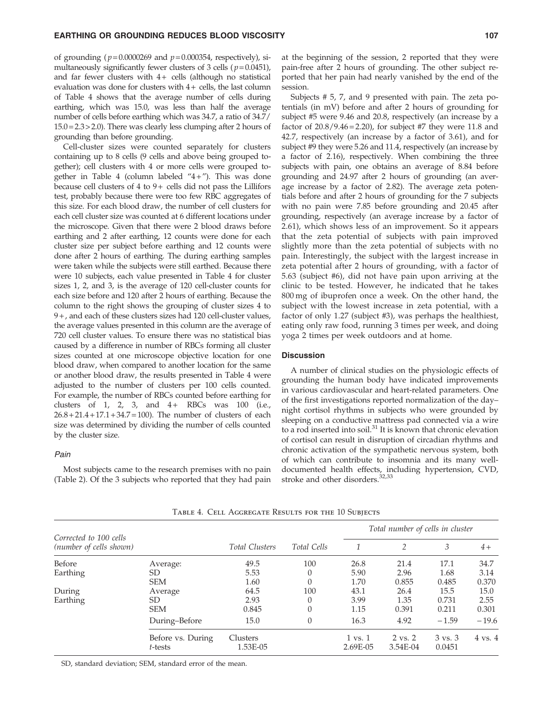# EARTHING OR GROUNDING REDUCES BLOOD VISCOSITY **107** 107

of grounding ( $p = 0.0000269$  and  $p = 0.000354$ , respectively), simultaneously significantly fewer clusters of 3 cells ( $p=0.0451$ ), and far fewer clusters with  $4+$  cells (although no statistical evaluation was done for clusters with  $4+$  cells, the last column of Table 4 shows that the average number of cells during earthing, which was 15.0, was less than half the average number of cells before earthing which was 34.7, a ratio of 34.7/ 15.0 = 2.3 > 2.0). There was clearly less clumping after 2 hours of grounding than before grounding.

Cell-cluster sizes were counted separately for clusters containing up to 8 cells (9 cells and above being grouped together); cell clusters with 4 or more cells were grouped together in Table 4 (column labeled  $4 + 7$ ). This was done because cell clusters of  $4$  to  $9+$  cells did not pass the Lillifors test, probably because there were too few RBC aggregates of this size. For each blood draw, the number of cell clusters for each cell cluster size was counted at 6 different locations under the microscope. Given that there were 2 blood draws before earthing and 2 after earthing, 12 counts were done for each cluster size per subject before earthing and 12 counts were done after 2 hours of earthing. The during earthing samples were taken while the subjects were still earthed. Because there were 10 subjects, each value presented in Table 4 for cluster sizes 1, 2, and 3, is the average of 120 cell-cluster counts for each size before and 120 after 2 hours of earthing. Because the column to the right shows the grouping of cluster sizes 4 to 9 + , and each of these clusters sizes had 120 cell-cluster values, the average values presented in this column are the average of 720 cell cluster values. To ensure there was no statistical bias caused by a difference in number of RBCs forming all cluster sizes counted at one microscope objective location for one blood draw, when compared to another location for the same or another blood draw, the results presented in Table 4 were adjusted to the number of clusters per 100 cells counted. For example, the number of RBCs counted before earthing for clusters of 1, 2, 3, and  $4+$  RBCs was 100 (i.e.,  $26.8 + 21.4 + 17.1 + 34.7 = 100$ . The number of clusters of each size was determined by dividing the number of cells counted by the cluster size.

### Pain

Most subjects came to the research premises with no pain (Table 2). Of the 3 subjects who reported that they had pain at the beginning of the session, 2 reported that they were pain-free after 2 hours of grounding. The other subject reported that her pain had nearly vanished by the end of the session.

Subjects # 5, 7, and 9 presented with pain. The zeta potentials (in mV) before and after 2 hours of grounding for subject #5 were 9.46 and 20.8, respectively (an increase by a factor of  $20.8/9.46 = 2.20$ , for subject #7 they were 11.8 and 42.7, respectively (an increase by a factor of 3.61), and for subject #9 they were 5.26 and 11.4, respectively (an increase by a factor of 2.16), respectively. When combining the three subjects with pain, one obtains an average of 8.84 before grounding and 24.97 after 2 hours of grounding (an average increase by a factor of 2.82). The average zeta potentials before and after 2 hours of grounding for the 7 subjects with no pain were 7.85 before grounding and 20.45 after grounding, respectively (an average increase by a factor of 2.61), which shows less of an improvement. So it appears that the zeta potential of subjects with pain improved slightly more than the zeta potential of subjects with no pain. Interestingly, the subject with the largest increase in zeta potential after 2 hours of grounding, with a factor of 5.63 (subject #6), did not have pain upon arriving at the clinic to be tested. However, he indicated that he takes 800 mg of ibuprofen once a week. On the other hand, the subject with the lowest increase in zeta potential, with a factor of only 1.27 (subject #3), was perhaps the healthiest, eating only raw food, running 3 times per week, and doing yoga 2 times per week outdoors and at home.

# **Discussion**

A number of clinical studies on the physiologic effects of grounding the human body have indicated improvements in various cardiovascular and heart-related parameters. One of the first investigations reported normalization of the day– night cortisol rhythms in subjects who were grounded by sleeping on a conductive mattress pad connected via a wire to a rod inserted into soil.<sup>31</sup> It is known that chronic elevation of cortisol can result in disruption of circadian rhythms and chronic activation of the sympathetic nervous system, both of which can contribute to insomnia and its many welldocumented health effects, including hypertension, CVD, stroke and other disorders.<sup>32,33</sup>

|                                                   |                              |                       | Total Cells | Total number of cells in cluster |                     |                   |                    |
|---------------------------------------------------|------------------------------|-----------------------|-------------|----------------------------------|---------------------|-------------------|--------------------|
| Corrected to 100 cells<br>(number of cells shown) |                              | <b>Total Clusters</b> |             |                                  | $\mathfrak{D}$      | 3                 | $4+$               |
| Before                                            | Average:                     | 49.5                  | 100         | 26.8                             | 21.4                | 17.1              | 34.7               |
| Earthing                                          | SD                           | 5.53                  | $\Omega$    | 5.90                             | 2.96                | 1.68              | 3.14               |
|                                                   | <b>SEM</b>                   | 1.60                  | 0           | 1.70                             | 0.855               | 0.485             | 0.370              |
| During                                            | Average                      | 64.5                  | 100         | 43.1                             | 26.4                | 15.5              | 15.0               |
| Earthing                                          | SD.                          | 2.93                  | $\Omega$    | 3.99                             | 1.35                | 0.731             | 2.55               |
|                                                   | <b>SEM</b>                   | 0.845                 | $\Omega$    | 1.15                             | 0.391               | 0.211             | 0.301              |
|                                                   | During-Before                | 15.0                  | $\Omega$    | 16.3                             | 4.92                | $-1.59$           | $-19.6$            |
|                                                   | Before vs. During<br>t-tests | Clusters<br>1.53E-05  |             | $1 \text{ vs. } 1$<br>2.69E-05   | 2 vs. 2<br>3.54E-04 | 3 vs. 3<br>0.0451 | $4 \text{ vs. } 4$ |

Table 4. Cell Aggregate Results for the 10 Subjects

SD, standard deviation; SEM, standard error of the mean.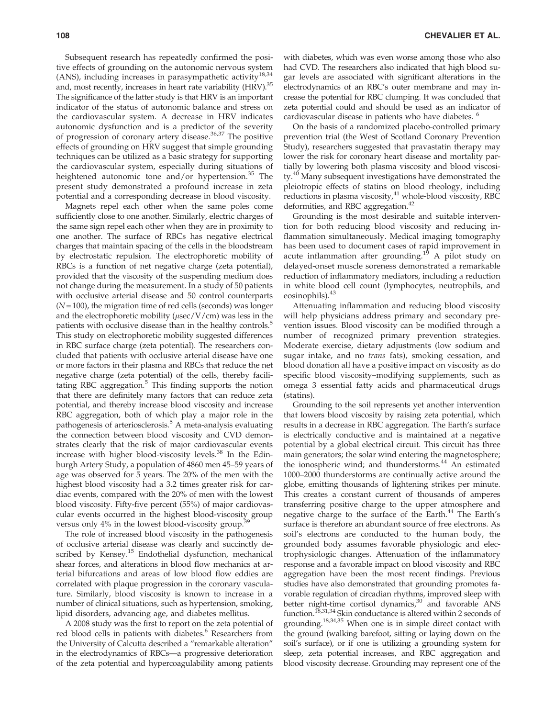Subsequent research has repeatedly confirmed the positive effects of grounding on the autonomic nervous system (ANS), including increases in parasympathetic activity<sup>18,34</sup> and, most recently, increases in heart rate variability (HRV).<sup>35</sup> The significance of the latter study is that HRV is an important indicator of the status of autonomic balance and stress on the cardiovascular system. A decrease in HRV indicates autonomic dysfunction and is a predictor of the severity of progression of coronary artery disease. $36,37$  The positive effects of grounding on HRV suggest that simple grounding techniques can be utilized as a basic strategy for supporting the cardiovascular system, especially during situations of heightened autonomic tone and/or hypertension.<sup>35</sup> The present study demonstrated a profound increase in zeta potential and a corresponding decrease in blood viscosity.

Magnets repel each other when the same poles come sufficiently close to one another. Similarly, electric charges of the same sign repel each other when they are in proximity to one another. The surface of RBCs has negative electrical charges that maintain spacing of the cells in the bloodstream by electrostatic repulsion. The electrophoretic mobility of RBCs is a function of net negative charge (zeta potential), provided that the viscosity of the suspending medium does not change during the measurement. In a study of 50 patients with occlusive arterial disease and 50 control counterparts (*N* = 100), the migration time of red cells (seconds) was longer and the electrophoretic mobility ( $\mu$ sec/V/cm) was less in the patients with occlusive disease than in the healthy controls.<sup>5</sup> This study on electrophoretic mobility suggested differences in RBC surface charge (zeta potential). The researchers concluded that patients with occlusive arterial disease have one or more factors in their plasma and RBCs that reduce the net negative charge (zeta potential) of the cells, thereby facilitating RBC aggregation.<sup>5</sup> This finding supports the notion that there are definitely many factors that can reduce zeta potential, and thereby increase blood viscosity and increase RBC aggregation, both of which play a major role in the pathogenesis of arteriosclerosis.<sup>5</sup> A meta-analysis evaluating the connection between blood viscosity and CVD demonstrates clearly that the risk of major cardiovascular events increase with higher blood-viscosity levels.<sup>38</sup> In the Edinburgh Artery Study, a population of 4860 men 45–59 years of age was observed for 5 years. The 20% of the men with the highest blood viscosity had a 3.2 times greater risk for cardiac events, compared with the 20% of men with the lowest blood viscosity. Fifty-five percent (55%) of major cardiovascular events occurred in the highest blood-viscosity group versus only  $4\%$  in the lowest blood-viscosity group.<sup>39</sup>

The role of increased blood viscosity in the pathogenesis of occlusive arterial disease was clearly and succinctly described by Kensey.<sup>15</sup> Endothelial dysfunction, mechanical shear forces, and alterations in blood flow mechanics at arterial bifurcations and areas of low blood flow eddies are correlated with plaque progression in the coronary vasculature. Similarly, blood viscosity is known to increase in a number of clinical situations, such as hypertension, smoking, lipid disorders, advancing age, and diabetes mellitus.

A 2008 study was the first to report on the zeta potential of red blood cells in patients with diabetes.<sup>6</sup> Researchers from the University of Calcutta described a ''remarkable alteration'' in the electrodynamics of RBCs—a progressive deterioration of the zeta potential and hypercoagulability among patients with diabetes, which was even worse among those who also had CVD. The researchers also indicated that high blood sugar levels are associated with significant alterations in the electrodynamics of an RBC's outer membrane and may increase the potential for RBC clumping. It was concluded that zeta potential could and should be used as an indicator of cardiovascular disease in patients who have diabetes.<sup>6</sup>

On the basis of a randomized placebo-controlled primary prevention trial (the West of Scotland Coronary Prevention Study), researchers suggested that pravastatin therapy may lower the risk for coronary heart disease and mortality partially by lowering both plasma viscosity and blood viscosity.<sup>40</sup> Many subsequent investigations have demonstrated the pleiotropic effects of statins on blood rheology, including reductions in plasma viscosity,<sup>41</sup> whole-blood viscosity, RBC deformities, and RBC aggregation.<sup>42</sup>

Grounding is the most desirable and suitable intervention for both reducing blood viscosity and reducing inflammation simultaneously. Medical imaging tomography has been used to document cases of rapid improvement in acute inflammation after grounding.<sup>19</sup> A pilot study on delayed-onset muscle soreness demonstrated a remarkable reduction of inflammatory mediators, including a reduction in white blood cell count (lymphocytes, neutrophils, and eosinophils).<sup>43</sup>

Attenuating inflammation and reducing blood viscosity will help physicians address primary and secondary prevention issues. Blood viscosity can be modified through a number of recognized primary prevention strategies. Moderate exercise, dietary adjustments (low sodium and sugar intake, and no *trans* fats), smoking cessation, and blood donation all have a positive impact on viscosity as do specific blood viscosity–modifying supplements, such as omega 3 essential fatty acids and pharmaceutical drugs (statins).

Grounding to the soil represents yet another intervention that lowers blood viscosity by raising zeta potential, which results in a decrease in RBC aggregation. The Earth's surface is electrically conductive and is maintained at a negative potential by a global electrical circuit. This circuit has three main generators; the solar wind entering the magnetosphere; the ionospheric wind; and thunderstorms.<sup>44</sup> An estimated 1000–2000 thunderstorms are continually active around the globe, emitting thousands of lightening strikes per minute. This creates a constant current of thousands of amperes transferring positive charge to the upper atmosphere and negative charge to the surface of the Earth.<sup>44</sup> The Earth's surface is therefore an abundant source of free electrons. As soil's electrons are conducted to the human body, the grounded body assumes favorable physiologic and electrophysiologic changes. Attenuation of the inflammatory response and a favorable impact on blood viscosity and RBC aggregation have been the most recent findings. Previous studies have also demonstrated that grounding promotes favorable regulation of circadian rhythms, improved sleep with better night-time cortisol dynamics,<sup>30</sup> and favorable ANS function.<sup>18,31,34</sup> Skin conductance is altered within 2 seconds of grounding.18,34,35 When one is in simple direct contact with the ground (walking barefoot, sitting or laying down on the soil's surface), or if one is utilizing a grounding system for sleep, zeta potential increases, and RBC aggregation and blood viscosity decrease. Grounding may represent one of the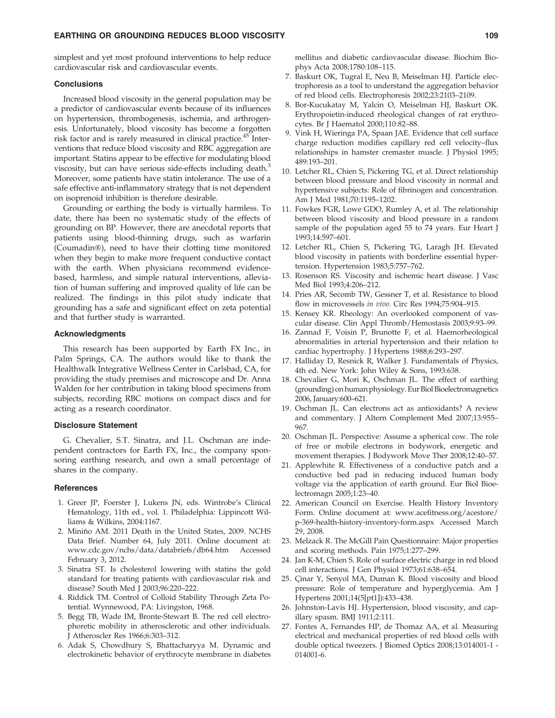# EARTHING OR GROUNDING REDUCES BLOOD VISCOSITY **109** 109

simplest and yet most profound interventions to help reduce cardiovascular risk and cardiovascular events.

# **Conclusions**

Increased blood viscosity in the general population may be a predictor of cardiovascular events because of its influences on hypertension, thrombogenesis, ischemia, and arthrogenesis. Unfortunately, blood viscosity has become a forgotten risk factor and is rarely measured in clinical practice.<sup>45</sup> Interventions that reduce blood viscosity and RBC aggregation are important. Statins appear to be effective for modulating blood viscosity, but can have serious side-effects including death.<sup>3</sup> Moreover, some patients have statin intolerance. The use of a safe effective anti-inflammatory strategy that is not dependent on isoprenoid inhibition is therefore desirable.

Grounding or earthing the body is virtually harmless. To date, there has been no systematic study of the effects of grounding on BP. However, there are anecdotal reports that patients using blood-thinning drugs, such as warfarin (Coumadin-), need to have their clotting time monitored when they begin to make more frequent conductive contact with the earth. When physicians recommend evidencebased, harmless, and simple natural interventions, alleviation of human suffering and improved quality of life can be realized. The findings in this pilot study indicate that grounding has a safe and significant effect on zeta potential and that further study is warranted.

# Acknowledgments

This research has been supported by Earth FX Inc., in Palm Springs, CA. The authors would like to thank the Healthwalk Integrative Wellness Center in Carlsbad, CA, for providing the study premises and microscope and Dr. Anna Walden for her contribution in taking blood specimens from subjects, recording RBC motions on compact discs and for acting as a research coordinator.

### Disclosure Statement

G. Chevalier, S.T. Sinatra, and J.L. Oschman are independent contractors for Earth FX, Inc., the company sponsoring earthing research, and own a small percentage of shares in the company.

# **References**

- 1. Greer JP, Foerster J, Lukens JN, eds. Wintrobe's Clinical Hematology, 11th ed., vol. 1. Philadelphia: Lippincott Williams & Wilkins, 2004:1167.
- 2. Miniño AM. 2011 Death in the United States, 2009. NCHS Data Brief. Number 64, July 2011. Online document at: www.cdc.gov/nchs/data/databriefs/db64.htm Accessed February 3, 2012.
- 3. Sinatra ST. Is cholesterol lowering with statins the gold standard for treating patients with cardiovascular risk and disease? South Med J 2003;96:220–222.
- 4. Riddick TM. Control of Colloid Stability Through Zeta Potential. Wynnewood, PA: Livingston, 1968.
- 5. Begg TB, Wade IM, Bronte-Stewart B. The red cell electrophoretic mobility in atherosclerotic and other individuals. J Atheroscler Res 1966;6:303–312.
- 6. Adak S, Chowdhury S, Bhattacharyya M. Dynamic and electrokinetic behavior of erythrocyte membrane in diabetes

mellitus and diabetic cardiovascular disease. Biochim Biophys Acta 2008;1780:108–115.

- 7. Baskurt OK, Tugral E, Neu B, Meiselman HJ. Particle electrophoresis as a tool to understand the aggregation behavior of red blood cells. Electrophoresis 2002;23:2103–2109.
- 8. Bor-Kucukatay M, Yalcin O, Meiselman HJ, Baskurt OK. Erythropoietin-induced rheological changes of rat erythrocytes. Br J Haematol 2000;110:82–88.
- 9. Vink H, Wieringa PA, Spaan JAE. Evidence that cell surface charge reduction modifies capillary red cell velocity–flux relationships in hamster cremaster muscle. J Physiol 1995; 489:193–201.
- 10. Letcher RL, Chien S, Pickering TG, et al. Direct relationship between blood pressure and blood viscosity in normal and hypertensive subjects: Role of fibrinogen and concentration. Am J Med 1981;70:1195–1202.
- 11. Fowkes FGR, Lowe GDO, Rumley A, et al. The relationship between blood viscosity and blood pressure in a random sample of the population aged 55 to 74 years. Eur Heart J 1993;14:597–601.
- 12. Letcher RL, Chien S, Pickering TG, Laragh JH. Elevated blood viscosity in patients with borderline essential hypertension. Hypertension 1983;5:757–762.
- 13. Rosenson RS. Viscosity and ischemic heart disease. J Vasc Med Biol 1993;4:206–212.
- 14. Pries AR, Secomb TW, Gessner T, et al. Resistance to blood flow in microvessels *in vivo*. Circ Res 1994;75:904–915.
- 15. Kensey KR. Rheology: An overlooked component of vascular disease. Clin Appl Thromb/Hemostasis 2003;9:93–99.
- 16. Zannad F, Voisin P, Brunotte F, et al. Haemorheological abnormalities in arterial hypertension and their relation to cardiac hypertrophy. J Hypertens 1988;6:293–297.
- 17. Halliday D, Resnick R, Walker J. Fundamentals of Physics, 4th ed. New York: John Wiley & Sons, 1993:638.
- 18. Chevalier G, Mori K, Oschman JL. The effect of earthing (grounding) on human physiology. Eur Biol Bioelectromagnetics 2006, January:600–621.
- 19. Oschman JL. Can electrons act as antioxidants? A review and commentary. J Altern Complement Med 2007;13:955– 967.
- 20. Oschman JL. Perspective: Assume a spherical cow. The role of free or mobile electrons in bodywork, energetic and movement therapies. J Bodywork Move Ther 2008;12:40–57.
- 21. Applewhite R. Effectiveness of a conductive patch and a conductive bed pad in reducing induced human body voltage via the application of earth ground. Eur Biol Bioelectromagn 2005;1:23–40.
- 22. American Council on Exercise. Health History Inventory Form. Online document at: www.acefitness.org/acestore/ p-369-health-history-inventory-form.aspx Accessed March 29, 2008.
- 23. Melzack R. The McGill Pain Questionnaire: Major properties and scoring methods. Pain 1975;1:277–299.
- 24. Jan K-M, Chien S. Role of surface electric charge in red blood cell interactions. J Gen Physiol 1973;61:638–654.
- 25. Çinar Y, Senyol MA, Duman K. Blood viscosity and blood pressure: Role of temperature and hyperglycemia. Am J Hypertens 2001;14(5[pt1]):433–438.
- 26. Johnston-Lavis HJ. Hypertension, blood viscosity, and capillary spasm. BMJ 1911;2:111.
- 27. Fontes A, Fernandes HP, de Thomaz AA, et al. Measuring electrical and mechanical properties of red blood cells with double optical tweezers. J Biomed Optics 2008;13:014001-1 - 014001-6.